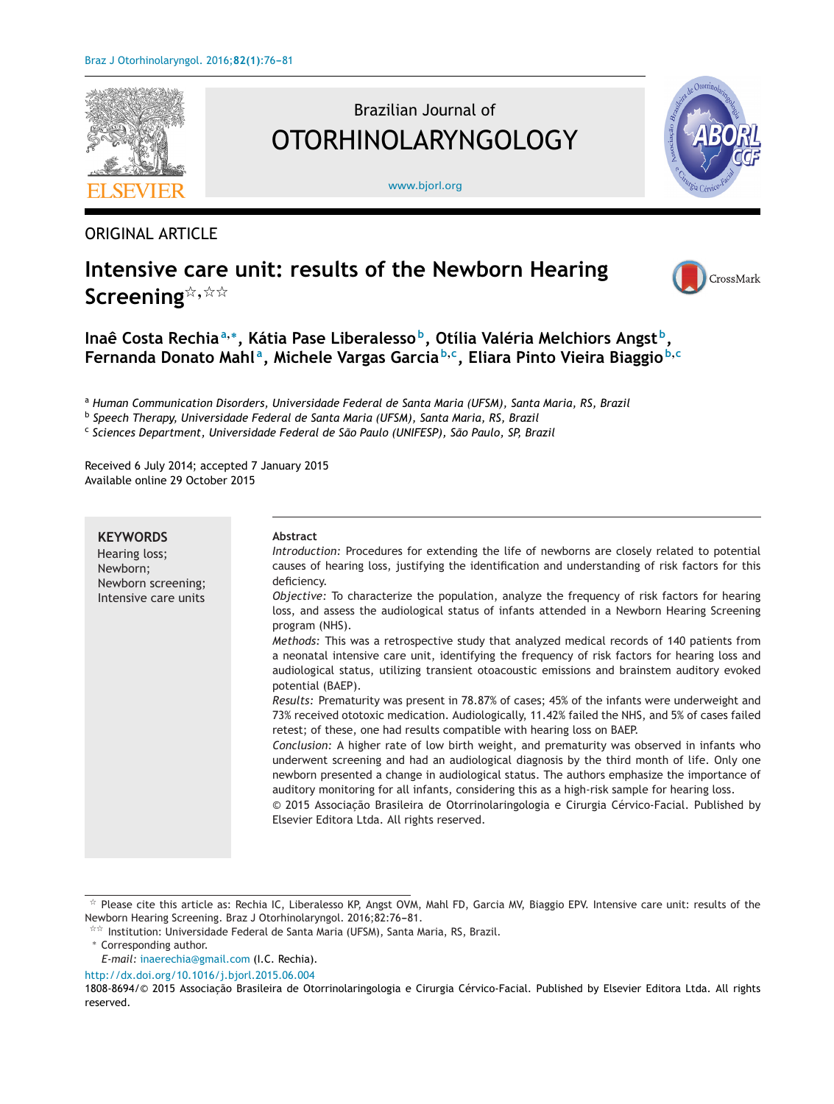

ORIGINAL ARTICLE

# Brazilian Journal of OTORHINOLARYNGOLOGY

[www.bjorl.org](http://www.bjorl.org)



## **Intensive care unit: results of the Newborn Hearing**  ${\sf Screening}^{\scriptscriptstyle \n} {\scriptstyle \hat{\star}},{\scriptstyle \hat{\star}^{\scriptstyle \hat{\star}^{\scriptstyle \times}}},$



**Inaê Costa Rechia<sup>a</sup>,∗, Kátia Pase Liberalesso b, Otília Valéria Melchiors Angst b, Fernanda Donato Mahl a, Michele Vargas Garcia <sup>b</sup>,c, Eliara Pinto Vieira Biaggio <sup>b</sup>,<sup>c</sup>**

<sup>a</sup> *Human Communication Disorders, Universidade Federal de Santa Maria (UFSM), Santa Maria, RS, Brazil*

<sup>b</sup> *Speech Therapy, Universidade Federal de Santa Maria (UFSM), Santa Maria, RS, Brazil*

<sup>c</sup> *Sciences Department, Universidade Federal de São Paulo (UNIFESP), São Paulo, SP, Brazil*

Received 6 July 2014; accepted 7 January 2015 Available online 29 October 2015

| <b>KEYWORDS</b><br>Hearing loss;<br>Newborn;<br>Newborn screening;<br>Intensive care units | Abstract<br>Introduction: Procedures for extending the life of newborns are closely related to potential<br>causes of hearing loss, justifying the identification and understanding of risk factors for this<br>deficiency.<br><i>Objective:</i> To characterize the population, analyze the frequency of risk factors for hearing<br>loss, and assess the audiological status of infants attended in a Newborn Hearing Screening<br>program (NHS).<br>Methods: This was a retrospective study that analyzed medical records of 140 patients from<br>a neonatal intensive care unit, identifying the frequency of risk factors for hearing loss and<br>audiological status, utilizing transient otoacoustic emissions and brainstem auditory evoked<br>potential (BAEP).<br>Results: Prematurity was present in 78.87% of cases; 45% of the infants were underweight and<br>73% received ototoxic medication. Audiologically, 11.42% failed the NHS, and 5% of cases failed<br>retest; of these, one had results compatible with hearing loss on BAEP.<br>Conclusion: A higher rate of low birth weight, and prematurity was observed in infants who<br>underwent screening and had an audiological diagnosis by the third month of life. Only one<br>newborn presented a change in audiological status. The authors emphasize the importance of<br>auditory monitoring for all infants, considering this as a high-risk sample for hearing loss.<br>© 2015 Associação Brasileira de Otorrinolaringologia e Cirurgia Cérvico-Facial. Published by<br>Elsevier Editora Ltda. All rights reserved. |
|--------------------------------------------------------------------------------------------|--------------------------------------------------------------------------------------------------------------------------------------------------------------------------------------------------------------------------------------------------------------------------------------------------------------------------------------------------------------------------------------------------------------------------------------------------------------------------------------------------------------------------------------------------------------------------------------------------------------------------------------------------------------------------------------------------------------------------------------------------------------------------------------------------------------------------------------------------------------------------------------------------------------------------------------------------------------------------------------------------------------------------------------------------------------------------------------------------------------------------------------------------------------------------------------------------------------------------------------------------------------------------------------------------------------------------------------------------------------------------------------------------------------------------------------------------------------------------------------------------------------------------------------------------------------------------------------------------|
|                                                                                            |                                                                                                                                                                                                                                                                                                                                                                                                                                                                                                                                                                                                                                                                                                                                                                                                                                                                                                                                                                                                                                                                                                                                                                                                                                                                                                                                                                                                                                                                                                                                                                                                  |

 $*$  Please cite this article as: Rechia IC, Liberalesso KP, Angst OVM, Mahl FD, Garcia MV, Biaggio EPV. Intensive care unit: results of the Newborn Hearing Screening. Braz J Otorhinolaryngol. 2016;82:76-81.

∗ Corresponding author.

<sup>-</sup>- Institution: Universidade Federal de Santa Maria (UFSM), Santa Maria, RS, Brazil.

*E-mail:* [inaerechia@gmail.com](mailto:inaerechia@gmail.com) (I.C. Rechia).

[http://dx.doi.org/10.1016/j.bjorl.2015.06.004](dx.doi.org/10.1016/j.bjorl.2015.06.004)

<sup>1808-8694/© 2015</sup> Associação Brasileira de Otorrinolaringologia e Cirurgia Cérvico-Facial. Published by Elsevier Editora Ltda. All rights reserved.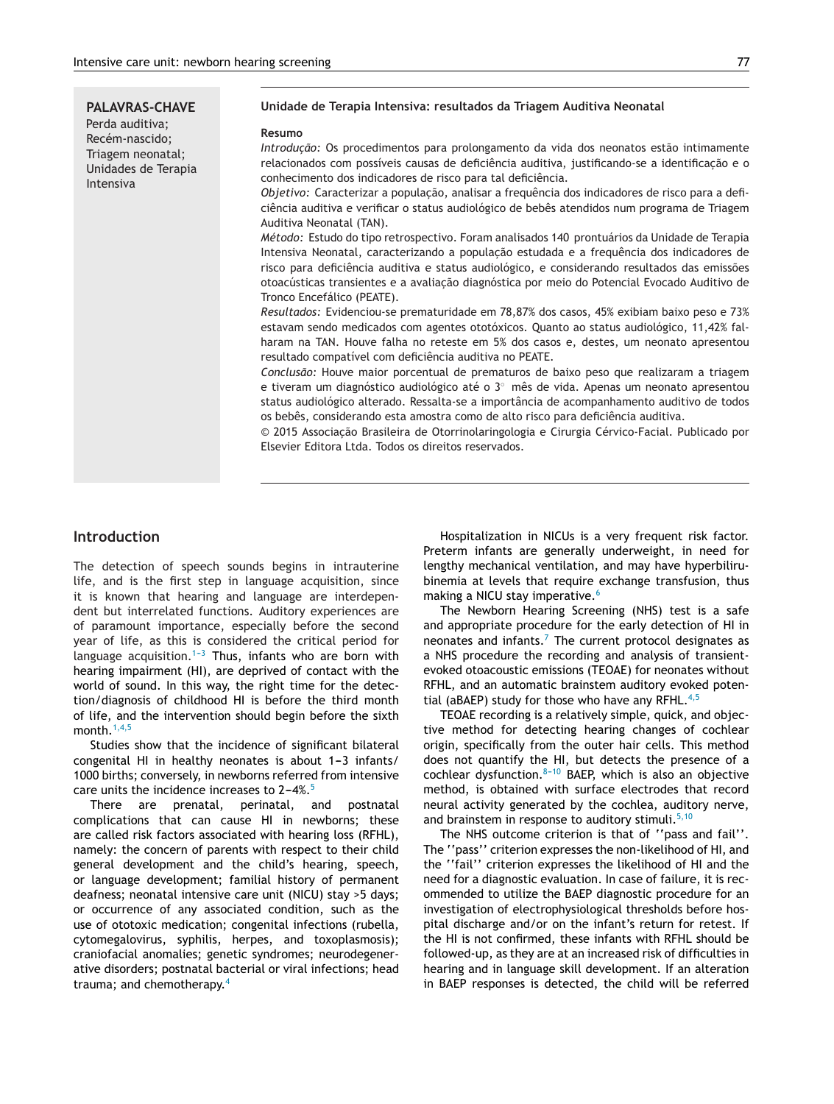# **PALAVRAS-CHAVE** Perda auditiva; Recém-nascido; Triagem neonatal; Unidades de Terapia Intensiva

#### **Unidade de Terapia Intensiva: resultados da Triagem Auditiva Neonatal**

#### **Resumo**

*Introducão:* Os procedimentos para prolongamento da vida dos neonatos estão intimamente relacionados com possíveis causas de deficiência auditiva, justificando-se a identificação e o conhecimento dos indicadores de risco para tal deficiência.

*Objetivo: Caracterizar a população, analisar a frequência dos indicadores de risco para a defi*ciência auditiva e verificar o status audiológico de bebês atendidos num programa de Triagem Auditiva Neonatal (TAN).

*Método:* Estudo do tipo retrospectivo. Foram analisados 140 prontuários da Unidade de Terapia Intensiva Neonatal, caracterizando a população estudada e a frequência dos indicadores de risco para deficiência auditiva e status audiológico, e considerando resultados das emissões otoacústicas transientes e a avaliacão diagnóstica por meio do Potencial Evocado Auditivo de Tronco Encefálico (PEATE).

*Resultados:* Evidenciou-se prematuridade em 78,87% dos casos, 45% exibiam baixo peso e 73% estavam sendo medicados com agentes ototóxicos. Quanto ao status audiológico, 11,42% falharam na TAN. Houve falha no reteste em 5% dos casos e, destes, um neonato apresentou resultado compatível com deficiência auditiva no PEATE.

*Conclusão:* Houve maior porcentual de prematuros de baixo peso que realizaram a triagem e tiveram um diagnóstico audiológico até o 3◦ mês de vida. Apenas um neonato apresentou status audiológico alterado. Ressalta-se a importância de acompanhamento auditivo de todos os bebês, considerando esta amostra como de alto risco para deficiência auditiva.

© 2015 Associac¸ão Brasileira de Otorrinolaringologia e Cirurgia Cérvico-Facial. Publicado por Elsevier Editora Ltda. Todos os direitos reservados.

#### **Introduction**

The detection of speech sounds begins in intrauterine life, and is the first step in language acquisition, since it is known that hearing and language are interdependent but interrelated functions. Auditory experiences are of paramount importance, especially before the second year of life, as this is considered the critical period for language acquisition.<sup>1-3</sup> Thus, infants who are born with hearing impairment (HI), are deprived of contact with the world of sound. In this way, the right time for the detection/diagnosis of childhood HI is before the third month of life, and the intervention should begin before the sixth month. $1,4,5$ 

Studies show that the incidence of significant bilateral congenital HI in healthy neonates is about  $1-3$  infants/ 1000 births; conversely, in newborns referred from intensive care units the incidence increases to  $2-4\%$ .<sup>[5](#page-4-0)</sup>

There are prenatal, perinatal, and postnatal complications that can cause HI in newborns; these are called risk factors associated with hearing loss (RFHL), namely: the concern of parents with respect to their child general development and the child's hearing, speech, or language development; familial history of permanent deafness; neonatal intensive care unit (NICU) stay >5 days; or occurrence of any associated condition, such as the use of ototoxic medication; congenital infections (rubella, cytomegalovirus, syphilis, herpes, and toxoplasmosis); craniofacial anomalies; genetic syndromes; neurodegenerative disorders; postnatal bacterial or viral infections; head trauma; and chemotherapy.[4](#page-4-0)

Hospitalization in NICUs is a very frequent risk factor. Preterm infants are generally underweight, in need for lengthy mechanical ventilation, and may have hyperbilirubinemia at levels that require exchange transfusion, thus making a NICU stay imperative.<sup>[6](#page-4-0)</sup>

The Newborn Hearing Screening (NHS) test is a safe and appropriate procedure for the early detection of HI in neonates and infants.<sup>[7](#page-4-0)</sup> The current protocol designates as a NHS procedure the recording and analysis of transientevoked otoacoustic emissions (TEOAE) for neonates without RFHL, and an automatic brainstem auditory evoked potential (aBAEP) study for those who have any RFHL. $4,5$ 

TEOAE recording is a relatively simple, quick, and objective method for detecting hearing changes of cochlear origin, specifically from the outer hair cells. This method does not quantify the HI, but detects the presence of a cochlear dysfunction. $8-10$  BAEP, which is also an objective method, is obtained with surface electrodes that record neural activity generated by the cochlea, auditory nerve, and brainstem in response to auditory stimuli. $5,10$ 

The NHS outcome criterion is that of ''pass and fail''. The ''pass'' criterion expresses the non-likelihood of HI, and the ''fail'' criterion expresses the likelihood of HI and the need for a diagnostic evaluation. In case of failure, it is recommended to utilize the BAEP diagnostic procedure for an investigation of electrophysiological thresholds before hospital discharge and/or on the infant's return for retest. If the HI is not confirmed, these infants with RFHL should be followed-up, as they are at an increased risk of difficulties in hearing and in language skill development. If an alteration in BAEP responses is detected, the child will be referred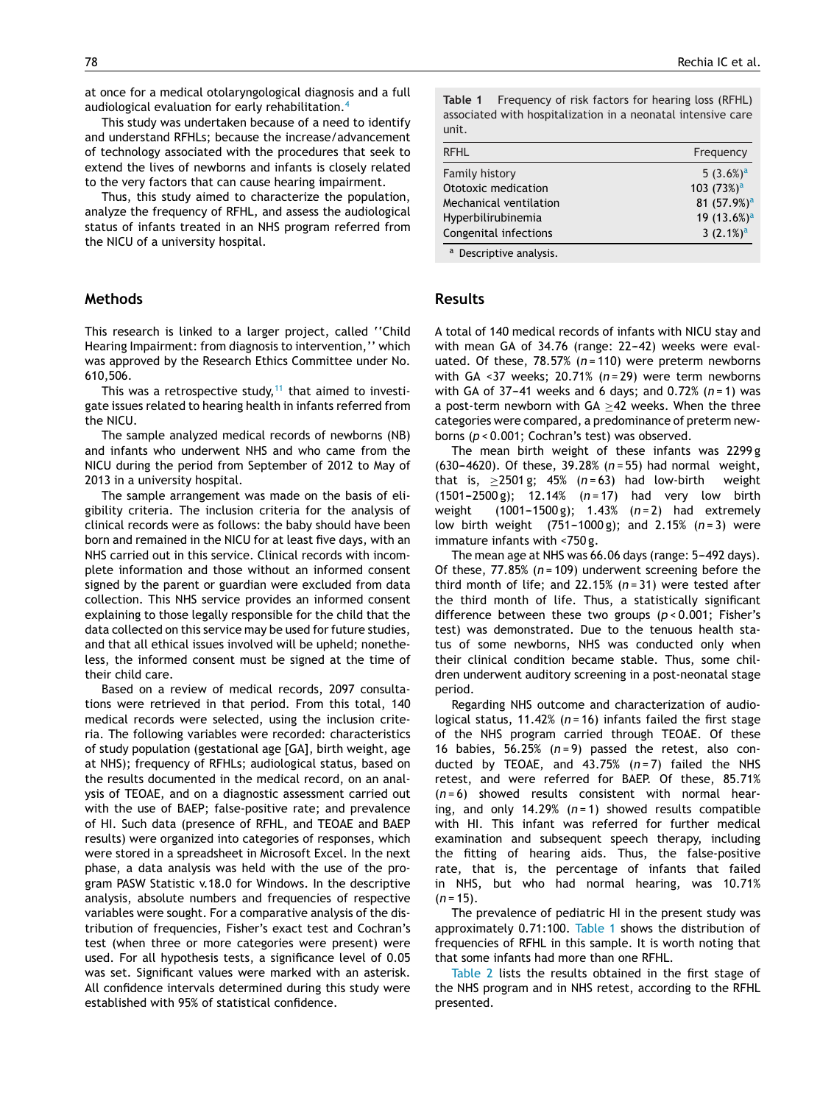<span id="page-2-0"></span>at once for a medical otolaryngological diagnosis and a full audiological evaluation for early rehabilitation.[4](#page-4-0)

This study was undertaken because of a need to identify and understand RFHLs; because the increase/advancement of technology associated with the procedures that seek to extend the lives of newborns and infants is closely related to the very factors that can cause hearing impairment.

Thus, this study aimed to characterize the population, analyze the frequency of RFHL, and assess the audiological status of infants treated in an NHS program referred from the NICU of a university hospital.

#### **Methods**

This research is linked to a larger project, called ''Child Hearing Impairment: from diagnosis to intervention,'' which was approved by the Research Ethics Committee under No. 610,506.

This was a retrospective study, $11$  that aimed to investigate issues related to hearing health in infants referred from the NICU.

The sample analyzed medical records of newborns (NB) and infants who underwent NHS and who came from the NICU during the period from September of 2012 to May of 2013 in a university hospital.

The sample arrangement was made on the basis of eligibility criteria. The inclusion criteria for the analysis of clinical records were as follows: the baby should have been born and remained in the NICU for at least five days, with an NHS carried out in this service. Clinical records with incomplete information and those without an informed consent signed by the parent or guardian were excluded from data collection. This NHS service provides an informed consent explaining to those legally responsible for the child that the data collected on this service may be used for future studies, and that all ethical issues involved will be upheld; nonetheless, the informed consent must be signed at the time of their child care.

Based on a review of medical records, 2097 consultations were retrieved in that period. From this total, 140 medical records were selected, using the inclusion criteria. The following variables were recorded: characteristics of study population (gestational age [GA], birth weight, age at NHS); frequency of RFHLs; audiological status, based on the results documented in the medical record, on an analysis of TEOAE, and on a diagnostic assessment carried out with the use of BAEP; false-positive rate; and prevalence of HI. Such data (presence of RFHL, and TEOAE and BAEP results) were organized into categories of responses, which were stored in a spreadsheet in Microsoft Excel. In the next phase, a data analysis was held with the use of the program PASW Statistic v.18.0 for Windows. In the descriptive analysis, absolute numbers and frequencies of respective variables were sought. For a comparative analysis of the distribution of frequencies, Fisher's exact test and Cochran's test (when three or more categories were present) were used. For all hypothesis tests, a significance level of 0.05 was set. Significant values were marked with an asterisk. All confidence intervals determined during this study were established with 95% of statistical confidence.

**Table 1** Frequency of risk factors for hearing loss (RFHL) associated with hospitalization in a neonatal intensive care unit.

| <b>RFHL</b>            | Frequency                  |
|------------------------|----------------------------|
| Family history         | 5 $(3.6%)a$                |
| Ototoxic medication    | 103 $(73%)^a$              |
| Mechanical ventilation | 81 $(57.9%)$ <sup>a</sup>  |
| Hyperbilirubinemia     | 19 $(13.6\%)$ <sup>a</sup> |
| Congenital infections  | 3 $(2.1\%)$ <sup>a</sup>   |
| a Doccriptivo apalveir |                            |

<sup>a</sup> Descriptive analysis.

#### **Results**

A total of 140 medical records of infants with NICU stay and with mean GA of  $34.76$  (range:  $22-42$ ) weeks were evaluated. Of these, 78.57% (*n* = 110) were preterm newborns with GA <37 weeks; 20.71% (*n* = 29) were term newborns with GA of 37-41 weeks and 6 days; and 0.72% (n=1) was a post-term newborn with  $GA > 42$  weeks. When the three categories were compared, a predominance of preterm newborns (*p* < 0.001; Cochran's test) was observed.

The mean birth weight of these infants was 2299 g (630-4620). Of these, 39.28% (n = 55) had normal weight, that is,  $\geq$ 2501 g; 45% ( $n = 63$ ) had low-birth weight (1501-2500 g); 12.14% (n = 17) had very low birth weight (1001-1500 g); 1.43% (n = 2) had extremely low birth weight (751-1000 g); and 2.15% (*n* = 3) were immature infants with <750 g.

The mean age at NHS was 66.06 days (range: 5-492 days). Of these, 77.85% (*n* = 109) underwent screening before the third month of life; and 22.15% (*n* = 31) were tested after the third month of life. Thus, a statistically significant difference between these two groups (*p* < 0.001; Fisher's test) was demonstrated. Due to the tenuous health status of some newborns, NHS was conducted only when their clinical condition became stable. Thus, some children underwent auditory screening in a post-neonatal stage period.

Regarding NHS outcome and characterization of audiological status, 11.42% (*n* = 16) infants failed the first stage of the NHS program carried through TEOAE. Of these 16 babies, 56.25% (*n* = 9) passed the retest, also conducted by TEOAE, and 43.75% (*n* = 7) failed the NHS retest, and were referred for BAEP. Of these, 85.71% (*n* = 6) showed results consistent with normal hearing, and only 14.29% (*n* = 1) showed results compatible with HI. This infant was referred for further medical examination and subsequent speech therapy, including the fitting of hearing aids. Thus, the false-positive rate, that is, the percentage of infants that failed in NHS, but who had normal hearing, was 10.71%  $(n = 15)$ .

The prevalence of pediatric HI in the present study was approximately 0.71:100. Table 1 shows the distribution of frequencies of RFHL in this sample. It is worth noting that that some infants had more than one RFHL.

[Table](#page-3-0) 2 lists the results obtained in the first stage of the NHS program and in NHS retest, according to the RFHL presented.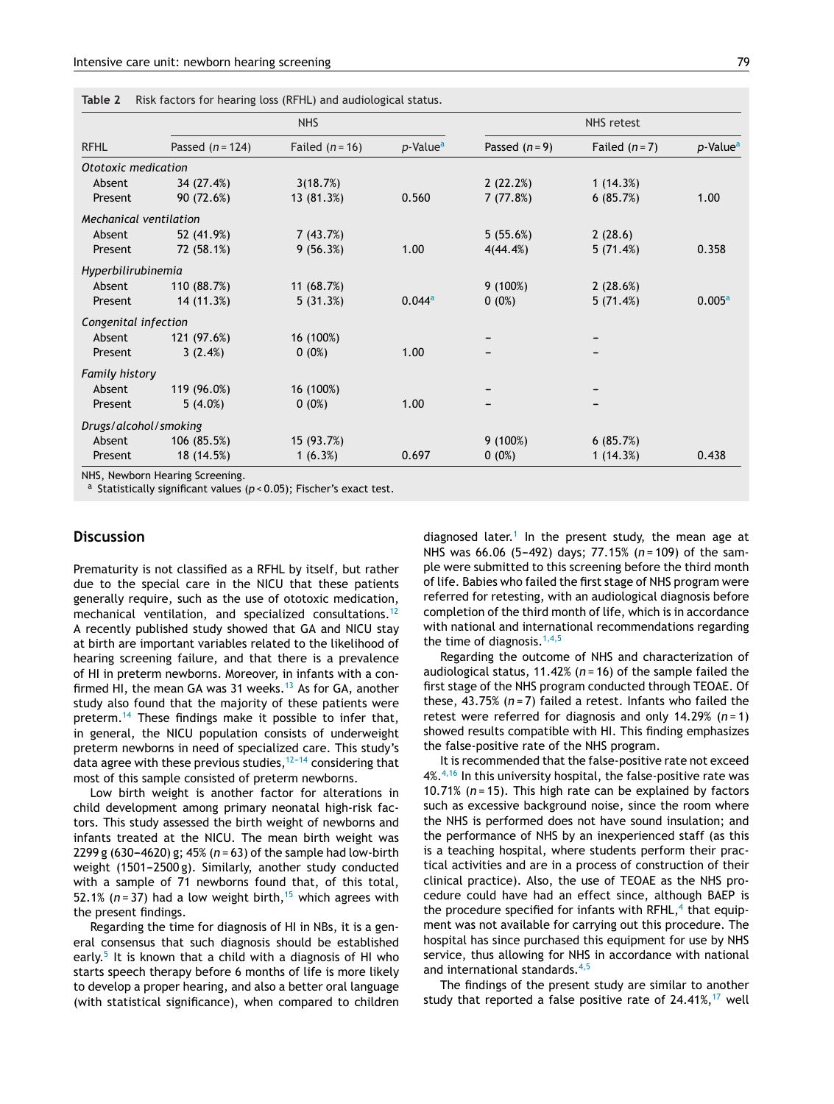<span id="page-3-0"></span>**Table 2** Risk factors for hearing loss (RFHL) and audiological status.

| <b>RFHL</b>            | <b>NHS</b>         |                 |                      | NHS retest     |                |                      |
|------------------------|--------------------|-----------------|----------------------|----------------|----------------|----------------------|
|                        | Passed $(n = 124)$ | Failed $(n=16)$ | p-Value <sup>a</sup> | Passed $(n=9)$ | Failed $(n=7)$ | p-Value <sup>a</sup> |
| Ototoxic medication    |                    |                 |                      |                |                |                      |
| Absent                 | 34 (27.4%)         | 3(18.7%)        |                      | 2(22.2%)       | 1(14.3%)       |                      |
| Present                | 90 (72.6%)         | 13 (81.3%)      | 0.560                | 7(77.8%)       | 6(85.7%)       | 1.00                 |
| Mechanical ventilation |                    |                 |                      |                |                |                      |
| Absent                 | 52 (41.9%)         | 7(43.7%)        |                      | 5(55.6%)       | 2(28.6)        |                      |
| Present                | 72 (58.1%)         | 9(56.3%)        | 1.00                 | 4(44.4%)       | 5(71.4%)       | 0.358                |
| Hyperbilirubinemia     |                    |                 |                      |                |                |                      |
| Absent                 | 110 (88.7%)        | 11 (68.7%)      |                      | 9(100%)        | 2(28.6%)       |                      |
| Present                | 14 (11.3%)         | 5(31.3%)        | 0.044a               | 0(0%)          | 5(71.4%)       | 0.005 <sup>a</sup>   |
| Congenital infection   |                    |                 |                      |                |                |                      |
| Absent                 | 121 (97.6%)        | 16 (100%)       |                      |                |                |                      |
| Present                | 3(2.4%)            | $0(0\%)$        | 1.00                 |                |                |                      |
| <b>Family history</b>  |                    |                 |                      |                |                |                      |
| Absent                 | 119 (96.0%)        | 16 (100%)       |                      |                |                |                      |
| Present                | $5(4.0\%)$         | $0(0\%)$        | 1.00                 |                |                |                      |
| Drugs/alcohol/smoking  |                    |                 |                      |                |                |                      |
| Absent                 | 106 (85.5%)        | 15 (93.7%)      |                      | 9(100%)        | 6(85.7%)       |                      |
| Present                | 18 (14.5%)         | 1(6.3%)         | 0.697                | $0(0\%)$       | 1(14.3%)       | 0.438                |

NHS, Newborn Hearing Screening.

<sup>a</sup> Statistically significant values (*p* < 0.05); Fischer's exact test.

#### **Discussion**

Prematurity is not classified as a RFHL by itself, but rather due to the special care in the NICU that these patients generally require, such as the use of ototoxic medication, mechanical ventilation, and specialized consultations.[12](#page-5-0) A recently published study showed that GA and NICU stay at birth are important variables related to the likelihood of hearing screening failure, and that there is a prevalence of HI in preterm newborns. Moreover, in infants with a con-firmed HI, the mean GA was 31 weeks.<sup>[13](#page-5-0)</sup> As for GA, another study also found that the majority of these patients were preterm.<sup>[14](#page-5-0)</sup> These findings make it possible to infer that, in general, the NICU population consists of underweight preterm newborns in need of specialized care. This study's data agree with these previous studies,  $12-14$  considering that most of this sample consisted of preterm newborns.

Low birth weight is another factor for alterations in child development among primary neonatal high-risk factors. This study assessed the birth weight of newborns and infants treated at the NICU. The mean birth weight was  $2299 g (630-4620) g$ ; 45% ( $n = 63$ ) of the sample had low-birth weight (1501-2500 g). Similarly, another study conducted with a sample of 71 newborns found that, of this total, 52.1% ( $n = 37$ ) had a low weight birth,<sup>[15](#page-5-0)</sup> which agrees with the present findings.

Regarding the time for diagnosis of HI in NBs, it is a general consensus that such diagnosis should be established early.<sup>[5](#page-4-0)</sup> It is known that a child with a diagnosis of HI who starts speech therapy before 6 months of life is more likely to develop a proper hearing, and also a better oral language (with statistical significance), when compared to children diagnosed later.<sup>[1](#page-4-0)</sup> In the present study, the mean age at NHS was 66.06 (5-492) days; 77.15% (*n* = 109) of the sample were submitted to this screening before the third month of life. Babies who failed the first stage of NHS program were referred for retesting, with an audiological diagnosis before completion of the third month of life, which is in accordance with national and international recommendations regarding the time of diagnosis.  $1,4,5$ 

Regarding the outcome of NHS and characterization of audiological status, 11.42% (*n* = 16) of the sample failed the first stage of the NHS program conducted through TEOAE. Of these, 43.75% (*n* = 7) failed a retest. Infants who failed the retest were referred for diagnosis and only 14.29% (*n* = 1) showed results compatible with HI. This finding emphasizes the false-positive rate of the NHS program.

It is recommended that the false-positive rate not exceed  $4\%.4,16}$  $4\%.4,16}$  $4\%.4,16}$  In this university hospital, the false-positive rate was 10.71% (*n* = 15). This high rate can be explained by factors such as excessive background noise, since the room where the NHS is performed does not have sound insulation; and the performance of NHS by an inexperienced staff (as this is a teaching hospital, where students perform their practical activities and are in a process of construction of their clinical practice). Also, the use of TEOAE as the NHS procedure could have had an effect since, although BAEP is [t](#page-4-0)he procedure specified for infants with RFHL, $4$  that equipment was not available for carrying out this procedure. The hospital has since purchased this equipment for use by NHS service, thus allowing for NHS in accordance with national and international standards.<sup>[4,5](#page-4-0)</sup>

The findings of the present study are similar to another study that reported a false positive rate of  $24.41\%,$ <sup>[17](#page-5-0)</sup> well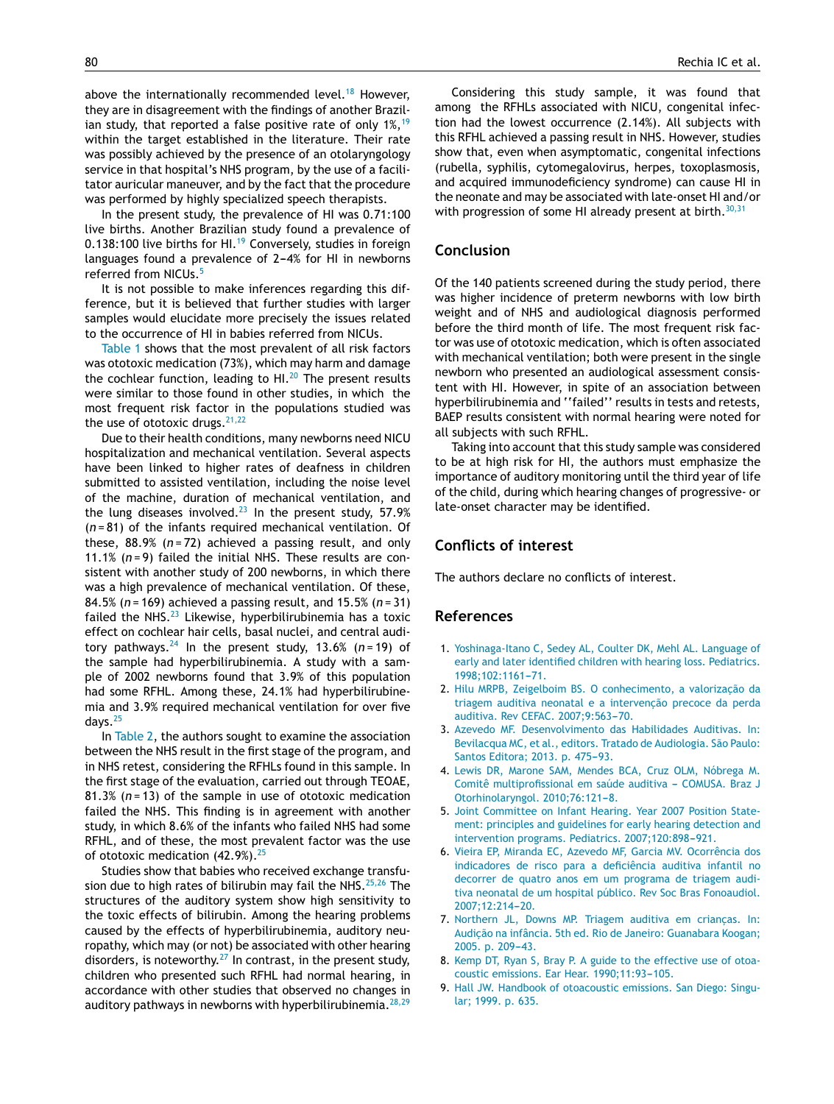<span id="page-4-0"></span>above the internationally recommended level.<sup>[18](#page-5-0)</sup> However, they are in disagreement with the findings of another Brazilian study, that reported a false positive rate of only  $1\%, 19$  $1\%, 19$ within the target established in the literature. Their rate was possibly achieved by the presence of an otolaryngology service in that hospital's NHS program, by the use of a facilitator auricular maneuver, and by the fact that the procedure was performed by highly specialized speech therapists.

In the present study, the prevalence of HI was 0.71:100 live births. Another Brazilian study found a prevalence of 0.138:100 live births for HI.<sup>[19](#page-5-0)</sup> Conversely, studies in foreign languages found a prevalence of  $2-4%$  for HI in newborns referred from NICUs.<sup>5</sup>

It is not possible to make inferences regarding this difference, but it is believed that further studies with larger samples would elucidate more precisely the issues related to the occurrence of HI in babies referred from NICUs.

[Table](#page-2-0) 1 shows that the most prevalent of all risk factors was ototoxic medication (73%), which may harm and damage the cochlear function, leading to HI. $^{20}$  $^{20}$  $^{20}$  The present results were similar to those found in other studies, in which the most frequent risk factor in the populations studied was the use of ototoxic drugs. $21,22$ 

Due to their health conditions, many newborns need NICU hospitalization and mechanical ventilation. Several aspects have been linked to higher rates of deafness in children submitted to assisted ventilation, including the noise level of the machine, duration of mechanical ventilation, and the lung diseases involved.<sup>[23](#page-5-0)</sup> In the present study, 57.9% (*n* = 81) of the infants required mechanical ventilation. Of these, 88.9% (*n* = 72) achieved a passing result, and only 11.1% (*n* = 9) failed the initial NHS. These results are consistent with another study of 200 newborns, in which there was a high prevalence of mechanical ventilation. Of these, 84.5% (*n* = 169) achieved a passing result, and 15.5% (*n* = 31) failed the NHS. $^{23}$  $^{23}$  $^{23}$  Likewise, hyperbilirubinemia has a toxic effect on cochlear hair cells, basal nuclei, and central auditory pathways.[24](#page-5-0) In the present study, 13.6% (*n* = 19) of the sample had hyperbilirubinemia. A study with a sample of 2002 newborns found that 3.9% of this population had some RFHL. Among these, 24.1% had hyperbilirubinemia and 3.9% required mechanical ventilation for over five days.[25](#page-5-0)

In [Table](#page-3-0) 2, the authors sought to examine the association between the NHS result in the first stage of the program, and in NHS retest, considering the RFHLs found in this sample. In the first stage of the evaluation, carried out through TEOAE, 81.3% (*n* = 13) of the sample in use of ototoxic medication failed the NHS. This finding is in agreement with another study, in which 8.6% of the infants who failed NHS had some RFHL, and of these, the most prevalent factor was the use of ototoxic medication  $(42.9\%)$ .<sup>[25](#page-5-0)</sup>

Studies show that babies who received exchange transfu-sion due to high rates of bilirubin may fail the NHS.<sup>[25,26](#page-5-0)</sup> The structures of the auditory system show high sensitivity to the toxic effects of bilirubin. Among the hearing problems caused by the effects of hyperbilirubinemia, auditory neuropathy, which may (or not) be associated with other hearing disorders, is noteworthy. $27$  In contrast, in the present study, children who presented such RFHL had normal hearing, in accordance with other studies that observed no changes in auditory pathways in newborns with hyperbilirubinemia.<sup>[28,29](#page-5-0)</sup>

Considering this study sample, it was found that among the RFHLs associated with NICU, congenital infection had the lowest occurrence (2.14%). All subjects with this RFHL achieved a passing result in NHS. However, studies show that, even when asymptomatic, congenital infections (rubella, syphilis, cytomegalovirus, herpes, toxoplasmosis, and acquired immunodeficiency syndrome) can cause HI in the neonate and may be associated with late-onset HI and/or with progression of some HI already present at birth.<sup>[30,31](#page-5-0)</sup>

#### **Conclusion**

Of the 140 patients screened during the study period, there was higher incidence of preterm newborns with low birth weight and of NHS and audiological diagnosis performed before the third month of life. The most frequent risk factor was use of ototoxic medication, which is often associated with mechanical ventilation; both were present in the single newborn who presented an audiological assessment consistent with HI. However, in spite of an association between hyperbilirubinemia and ''failed'' results in tests and retests, BAEP results consistent with normal hearing were noted for all subjects with such RFHL.

Taking into account that this study sample was considered to be at high risk for HI, the authors must emphasize the importance of auditory monitoring until the third year of life of the child, during which hearing changes of progressive- or late-onset character may be identified.

### **Conflicts of interest**

The authors declare no conflicts of interest.

## **References**

- 1. [Yoshinaga-Itano](http://refhub.elsevier.com/S1808-8694(15)00182-2/sbref0160) [C,](http://refhub.elsevier.com/S1808-8694(15)00182-2/sbref0160) [Sedey](http://refhub.elsevier.com/S1808-8694(15)00182-2/sbref0160) [AL,](http://refhub.elsevier.com/S1808-8694(15)00182-2/sbref0160) [Coulter](http://refhub.elsevier.com/S1808-8694(15)00182-2/sbref0160) [DK,](http://refhub.elsevier.com/S1808-8694(15)00182-2/sbref0160) [Mehl](http://refhub.elsevier.com/S1808-8694(15)00182-2/sbref0160) [AL.](http://refhub.elsevier.com/S1808-8694(15)00182-2/sbref0160) [Language](http://refhub.elsevier.com/S1808-8694(15)00182-2/sbref0160) [of](http://refhub.elsevier.com/S1808-8694(15)00182-2/sbref0160) [early](http://refhub.elsevier.com/S1808-8694(15)00182-2/sbref0160) [and](http://refhub.elsevier.com/S1808-8694(15)00182-2/sbref0160) [later](http://refhub.elsevier.com/S1808-8694(15)00182-2/sbref0160) [identified](http://refhub.elsevier.com/S1808-8694(15)00182-2/sbref0160) [children](http://refhub.elsevier.com/S1808-8694(15)00182-2/sbref0160) [with](http://refhub.elsevier.com/S1808-8694(15)00182-2/sbref0160) [hearing](http://refhub.elsevier.com/S1808-8694(15)00182-2/sbref0160) [loss.](http://refhub.elsevier.com/S1808-8694(15)00182-2/sbref0160) [Pediatrics.](http://refhub.elsevier.com/S1808-8694(15)00182-2/sbref0160)  $1998:102:1161-71$
- 2. [Hilu](http://refhub.elsevier.com/S1808-8694(15)00182-2/sbref0165) [MRPB,](http://refhub.elsevier.com/S1808-8694(15)00182-2/sbref0165) [Zeigelboim](http://refhub.elsevier.com/S1808-8694(15)00182-2/sbref0165) [BS.](http://refhub.elsevier.com/S1808-8694(15)00182-2/sbref0165) [O](http://refhub.elsevier.com/S1808-8694(15)00182-2/sbref0165) [conhecimento,](http://refhub.elsevier.com/S1808-8694(15)00182-2/sbref0165) [a](http://refhub.elsevier.com/S1808-8694(15)00182-2/sbref0165) valorização [da](http://refhub.elsevier.com/S1808-8694(15)00182-2/sbref0165) [triagem](http://refhub.elsevier.com/S1808-8694(15)00182-2/sbref0165) [auditiva](http://refhub.elsevier.com/S1808-8694(15)00182-2/sbref0165) [neonatal](http://refhub.elsevier.com/S1808-8694(15)00182-2/sbref0165) [e](http://refhub.elsevier.com/S1808-8694(15)00182-2/sbref0165) [a](http://refhub.elsevier.com/S1808-8694(15)00182-2/sbref0165) intervenção [precoce](http://refhub.elsevier.com/S1808-8694(15)00182-2/sbref0165) [da](http://refhub.elsevier.com/S1808-8694(15)00182-2/sbref0165) [perda](http://refhub.elsevier.com/S1808-8694(15)00182-2/sbref0165) [auditiva.](http://refhub.elsevier.com/S1808-8694(15)00182-2/sbref0165) [Rev](http://refhub.elsevier.com/S1808-8694(15)00182-2/sbref0165) [CEFAC.](http://refhub.elsevier.com/S1808-8694(15)00182-2/sbref0165) 2007;9:563-70.
- 3. [Azevedo](http://refhub.elsevier.com/S1808-8694(15)00182-2/sbref0170) [MF.](http://refhub.elsevier.com/S1808-8694(15)00182-2/sbref0170) [Desenvolvimento](http://refhub.elsevier.com/S1808-8694(15)00182-2/sbref0170) [das](http://refhub.elsevier.com/S1808-8694(15)00182-2/sbref0170) [Habilidades](http://refhub.elsevier.com/S1808-8694(15)00182-2/sbref0170) [Auditivas.](http://refhub.elsevier.com/S1808-8694(15)00182-2/sbref0170) [In:](http://refhub.elsevier.com/S1808-8694(15)00182-2/sbref0170) [Bevilacqua](http://refhub.elsevier.com/S1808-8694(15)00182-2/sbref0170) [MC,](http://refhub.elsevier.com/S1808-8694(15)00182-2/sbref0170) [et](http://refhub.elsevier.com/S1808-8694(15)00182-2/sbref0170) [al.,](http://refhub.elsevier.com/S1808-8694(15)00182-2/sbref0170) [editors.](http://refhub.elsevier.com/S1808-8694(15)00182-2/sbref0170) [Tratado](http://refhub.elsevier.com/S1808-8694(15)00182-2/sbref0170) [de](http://refhub.elsevier.com/S1808-8694(15)00182-2/sbref0170) [Audiologia.](http://refhub.elsevier.com/S1808-8694(15)00182-2/sbref0170) [São](http://refhub.elsevier.com/S1808-8694(15)00182-2/sbref0170) [Paulo:](http://refhub.elsevier.com/S1808-8694(15)00182-2/sbref0170) [Santos](http://refhub.elsevier.com/S1808-8694(15)00182-2/sbref0170) [Editora;](http://refhub.elsevier.com/S1808-8694(15)00182-2/sbref0170) [2013.](http://refhub.elsevier.com/S1808-8694(15)00182-2/sbref0170) [p.](http://refhub.elsevier.com/S1808-8694(15)00182-2/sbref0170) 475-93.
- 4. [Lewis](http://refhub.elsevier.com/S1808-8694(15)00182-2/sbref0175) [DR,](http://refhub.elsevier.com/S1808-8694(15)00182-2/sbref0175) [Marone](http://refhub.elsevier.com/S1808-8694(15)00182-2/sbref0175) [SAM,](http://refhub.elsevier.com/S1808-8694(15)00182-2/sbref0175) [Mendes](http://refhub.elsevier.com/S1808-8694(15)00182-2/sbref0175) [BCA,](http://refhub.elsevier.com/S1808-8694(15)00182-2/sbref0175) [Cruz](http://refhub.elsevier.com/S1808-8694(15)00182-2/sbref0175) [OLM,](http://refhub.elsevier.com/S1808-8694(15)00182-2/sbref0175) [Nóbrega](http://refhub.elsevier.com/S1808-8694(15)00182-2/sbref0175) [M.](http://refhub.elsevier.com/S1808-8694(15)00182-2/sbref0175) [Comitê](http://refhub.elsevier.com/S1808-8694(15)00182-2/sbref0175) [multiprofissional](http://refhub.elsevier.com/S1808-8694(15)00182-2/sbref0175) [em](http://refhub.elsevier.com/S1808-8694(15)00182-2/sbref0175) [saúde](http://refhub.elsevier.com/S1808-8694(15)00182-2/sbref0175) [auditiva](http://refhub.elsevier.com/S1808-8694(15)00182-2/sbref0175) - [COMUSA.](http://refhub.elsevier.com/S1808-8694(15)00182-2/sbref0175) [Braz](http://refhub.elsevier.com/S1808-8694(15)00182-2/sbref0175) [J](http://refhub.elsevier.com/S1808-8694(15)00182-2/sbref0175) [Otorhinolaryngol.](http://refhub.elsevier.com/S1808-8694(15)00182-2/sbref0175) [2010;76:121](http://refhub.elsevier.com/S1808-8694(15)00182-2/sbref0175)-[8.](http://refhub.elsevier.com/S1808-8694(15)00182-2/sbref0175)
- 5. [Joint](http://refhub.elsevier.com/S1808-8694(15)00182-2/sbref0180) [Committee](http://refhub.elsevier.com/S1808-8694(15)00182-2/sbref0180) [on](http://refhub.elsevier.com/S1808-8694(15)00182-2/sbref0180) [Infant](http://refhub.elsevier.com/S1808-8694(15)00182-2/sbref0180) [Hearing.](http://refhub.elsevier.com/S1808-8694(15)00182-2/sbref0180) [Year](http://refhub.elsevier.com/S1808-8694(15)00182-2/sbref0180) [2007](http://refhub.elsevier.com/S1808-8694(15)00182-2/sbref0180) [Position](http://refhub.elsevier.com/S1808-8694(15)00182-2/sbref0180) [State](http://refhub.elsevier.com/S1808-8694(15)00182-2/sbref0180)[ment:](http://refhub.elsevier.com/S1808-8694(15)00182-2/sbref0180) [principles](http://refhub.elsevier.com/S1808-8694(15)00182-2/sbref0180) [and](http://refhub.elsevier.com/S1808-8694(15)00182-2/sbref0180) [guidelines](http://refhub.elsevier.com/S1808-8694(15)00182-2/sbref0180) [for](http://refhub.elsevier.com/S1808-8694(15)00182-2/sbref0180) [early](http://refhub.elsevier.com/S1808-8694(15)00182-2/sbref0180) [hearing](http://refhub.elsevier.com/S1808-8694(15)00182-2/sbref0180) [detection](http://refhub.elsevier.com/S1808-8694(15)00182-2/sbref0180) [and](http://refhub.elsevier.com/S1808-8694(15)00182-2/sbref0180) [intervention](http://refhub.elsevier.com/S1808-8694(15)00182-2/sbref0180) [programs.](http://refhub.elsevier.com/S1808-8694(15)00182-2/sbref0180) [Pediatrics.](http://refhub.elsevier.com/S1808-8694(15)00182-2/sbref0180) [2007;120:898](http://refhub.elsevier.com/S1808-8694(15)00182-2/sbref0180)-[921.](http://refhub.elsevier.com/S1808-8694(15)00182-2/sbref0180)
- 6. [Vieira](http://refhub.elsevier.com/S1808-8694(15)00182-2/sbref0185) [EP,](http://refhub.elsevier.com/S1808-8694(15)00182-2/sbref0185) [Miranda](http://refhub.elsevier.com/S1808-8694(15)00182-2/sbref0185) [EC,](http://refhub.elsevier.com/S1808-8694(15)00182-2/sbref0185) [Azevedo](http://refhub.elsevier.com/S1808-8694(15)00182-2/sbref0185) [MF,](http://refhub.elsevier.com/S1808-8694(15)00182-2/sbref0185) [Garcia](http://refhub.elsevier.com/S1808-8694(15)00182-2/sbref0185) [MV.](http://refhub.elsevier.com/S1808-8694(15)00182-2/sbref0185) [Ocorrência](http://refhub.elsevier.com/S1808-8694(15)00182-2/sbref0185) [dos](http://refhub.elsevier.com/S1808-8694(15)00182-2/sbref0185) [indicadores](http://refhub.elsevier.com/S1808-8694(15)00182-2/sbref0185) [de](http://refhub.elsevier.com/S1808-8694(15)00182-2/sbref0185) [risco](http://refhub.elsevier.com/S1808-8694(15)00182-2/sbref0185) [para](http://refhub.elsevier.com/S1808-8694(15)00182-2/sbref0185) [a](http://refhub.elsevier.com/S1808-8694(15)00182-2/sbref0185) [deficiência](http://refhub.elsevier.com/S1808-8694(15)00182-2/sbref0185) [auditiva](http://refhub.elsevier.com/S1808-8694(15)00182-2/sbref0185) [infantil](http://refhub.elsevier.com/S1808-8694(15)00182-2/sbref0185) [no](http://refhub.elsevier.com/S1808-8694(15)00182-2/sbref0185) [decorrer](http://refhub.elsevier.com/S1808-8694(15)00182-2/sbref0185) [de](http://refhub.elsevier.com/S1808-8694(15)00182-2/sbref0185) [quatro](http://refhub.elsevier.com/S1808-8694(15)00182-2/sbref0185) [anos](http://refhub.elsevier.com/S1808-8694(15)00182-2/sbref0185) [em](http://refhub.elsevier.com/S1808-8694(15)00182-2/sbref0185) [um](http://refhub.elsevier.com/S1808-8694(15)00182-2/sbref0185) [programa](http://refhub.elsevier.com/S1808-8694(15)00182-2/sbref0185) [de](http://refhub.elsevier.com/S1808-8694(15)00182-2/sbref0185) [triagem](http://refhub.elsevier.com/S1808-8694(15)00182-2/sbref0185) [audi](http://refhub.elsevier.com/S1808-8694(15)00182-2/sbref0185)[tiva](http://refhub.elsevier.com/S1808-8694(15)00182-2/sbref0185) [neonatal](http://refhub.elsevier.com/S1808-8694(15)00182-2/sbref0185) [de](http://refhub.elsevier.com/S1808-8694(15)00182-2/sbref0185) [um](http://refhub.elsevier.com/S1808-8694(15)00182-2/sbref0185) [hospital](http://refhub.elsevier.com/S1808-8694(15)00182-2/sbref0185) [público.](http://refhub.elsevier.com/S1808-8694(15)00182-2/sbref0185) [Rev](http://refhub.elsevier.com/S1808-8694(15)00182-2/sbref0185) [Soc](http://refhub.elsevier.com/S1808-8694(15)00182-2/sbref0185) [Bras](http://refhub.elsevier.com/S1808-8694(15)00182-2/sbref0185) [Fonoaudiol.](http://refhub.elsevier.com/S1808-8694(15)00182-2/sbref0185)  $2007:12:214-20$
- 7. [Northern](http://refhub.elsevier.com/S1808-8694(15)00182-2/sbref0190) [JL,](http://refhub.elsevier.com/S1808-8694(15)00182-2/sbref0190) [Downs](http://refhub.elsevier.com/S1808-8694(15)00182-2/sbref0190) [MP.](http://refhub.elsevier.com/S1808-8694(15)00182-2/sbref0190) [Triagem](http://refhub.elsevier.com/S1808-8694(15)00182-2/sbref0190) [auditiva](http://refhub.elsevier.com/S1808-8694(15)00182-2/sbref0190) [em](http://refhub.elsevier.com/S1808-8694(15)00182-2/sbref0190) crianças. [In:](http://refhub.elsevier.com/S1808-8694(15)00182-2/sbref0190) Audição [na](http://refhub.elsevier.com/S1808-8694(15)00182-2/sbref0190) [infância.](http://refhub.elsevier.com/S1808-8694(15)00182-2/sbref0190) [5th](http://refhub.elsevier.com/S1808-8694(15)00182-2/sbref0190) [ed.](http://refhub.elsevier.com/S1808-8694(15)00182-2/sbref0190) [Rio](http://refhub.elsevier.com/S1808-8694(15)00182-2/sbref0190) [de](http://refhub.elsevier.com/S1808-8694(15)00182-2/sbref0190) [Janeiro:](http://refhub.elsevier.com/S1808-8694(15)00182-2/sbref0190) [Guanabara](http://refhub.elsevier.com/S1808-8694(15)00182-2/sbref0190) [Koogan;](http://refhub.elsevier.com/S1808-8694(15)00182-2/sbref0190) [2005.](http://refhub.elsevier.com/S1808-8694(15)00182-2/sbref0190) [p.](http://refhub.elsevier.com/S1808-8694(15)00182-2/sbref0190) 209-43.
- 8. [Kemp](http://refhub.elsevier.com/S1808-8694(15)00182-2/sbref0195) [DT,](http://refhub.elsevier.com/S1808-8694(15)00182-2/sbref0195) [Ryan](http://refhub.elsevier.com/S1808-8694(15)00182-2/sbref0195) [S,](http://refhub.elsevier.com/S1808-8694(15)00182-2/sbref0195) [Bray](http://refhub.elsevier.com/S1808-8694(15)00182-2/sbref0195) [P.](http://refhub.elsevier.com/S1808-8694(15)00182-2/sbref0195) [A](http://refhub.elsevier.com/S1808-8694(15)00182-2/sbref0195) [guide](http://refhub.elsevier.com/S1808-8694(15)00182-2/sbref0195) [to](http://refhub.elsevier.com/S1808-8694(15)00182-2/sbref0195) [the](http://refhub.elsevier.com/S1808-8694(15)00182-2/sbref0195) [effective](http://refhub.elsevier.com/S1808-8694(15)00182-2/sbref0195) [use](http://refhub.elsevier.com/S1808-8694(15)00182-2/sbref0195) [of](http://refhub.elsevier.com/S1808-8694(15)00182-2/sbref0195) [otoa](http://refhub.elsevier.com/S1808-8694(15)00182-2/sbref0195)[coustic](http://refhub.elsevier.com/S1808-8694(15)00182-2/sbref0195) [emissions.](http://refhub.elsevier.com/S1808-8694(15)00182-2/sbref0195) [Ear](http://refhub.elsevier.com/S1808-8694(15)00182-2/sbref0195) [Hear.](http://refhub.elsevier.com/S1808-8694(15)00182-2/sbref0195) 1990;11:93-105.
- 9. [Hall](http://refhub.elsevier.com/S1808-8694(15)00182-2/sbref0200) [JW.](http://refhub.elsevier.com/S1808-8694(15)00182-2/sbref0200) [Handbook](http://refhub.elsevier.com/S1808-8694(15)00182-2/sbref0200) [of](http://refhub.elsevier.com/S1808-8694(15)00182-2/sbref0200) [otoacoustic](http://refhub.elsevier.com/S1808-8694(15)00182-2/sbref0200) [emissions.](http://refhub.elsevier.com/S1808-8694(15)00182-2/sbref0200) [San](http://refhub.elsevier.com/S1808-8694(15)00182-2/sbref0200) [Diego:](http://refhub.elsevier.com/S1808-8694(15)00182-2/sbref0200) [Singu](http://refhub.elsevier.com/S1808-8694(15)00182-2/sbref0200)[lar;](http://refhub.elsevier.com/S1808-8694(15)00182-2/sbref0200) [1999.](http://refhub.elsevier.com/S1808-8694(15)00182-2/sbref0200) [p.](http://refhub.elsevier.com/S1808-8694(15)00182-2/sbref0200) [635.](http://refhub.elsevier.com/S1808-8694(15)00182-2/sbref0200)